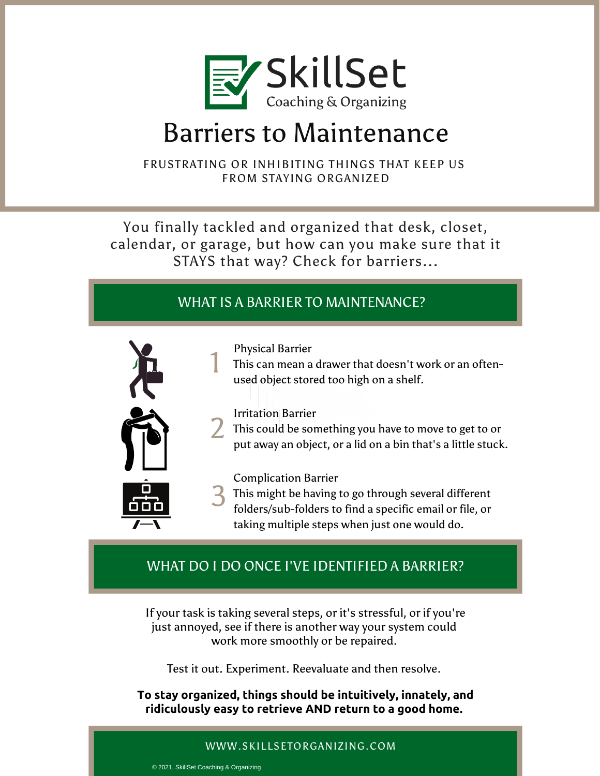

# Barriers to Maintenance

FRUSTRATING OR INHIBITING THINGS THAT KEEP US FROM STAYING ORGANIZED

You finally tackled and organized that desk, closet, calendar, or garage, but how can you make sure that it STAYS that way? Check for barriers...

## WHAT IS A BARRIER TO MAINTENANCE?



Physical Barrier

This can mean a drawer that doesn't work or an oftenused object stored too high on a shelf.  $\begin{smallmatrix}1&1\end{smallmatrix}$ 

### Irritation Barrier

This could be something you have to move to get to or put away an object, or a lid on a bin that's a little stuck.  $2 \frac{m}{m}$ 

Complication Barrier

<sup>3</sup> This might be having to go through several different folders/sub-folders to find a specific email or file. or folders/sub-folders to find a specific email or file, or taking multiple steps when just one would do.

## WHAT DO I DO ONCE I'VE IDENTIFIED A BARRIER?

If your task is taking several steps, or it's stressful, or if you're just annoyed, see if there is another way your system could work more smoothly or be repaired.

Test it out. Experiment. Reevaluate and then resolve.

**To stay organized, things should be intuitively, innately, and ridiculously easy to retrieve AND return to a good home.**

#### WWW.SKILLSETORGANIZING.COM

© 2021, SkillSet Coaching & Organizing